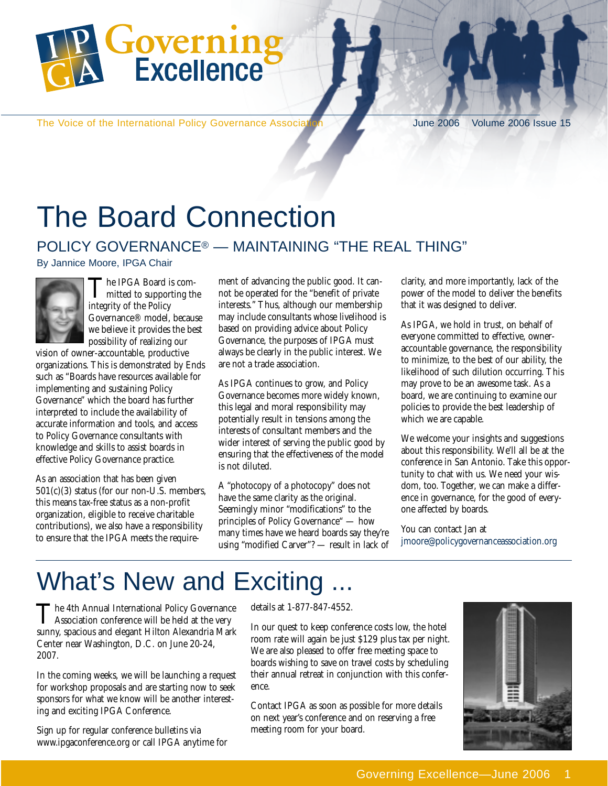

The Voice of the International Policy Governance Association June 2006 Volume 2006 Issue 15

# The Board Connection

#### POLICY GOVERNANCE® — MAINTAINING "THE REAL THING"

By Jannice Moore, IPGA Chair



The IPGA Board is com-<br>mitted to supporting the integrity of the Policy Governance® model, because we believe it provides the best possibility of realizing our

vision of owner-accountable, productive organizations. This is demonstrated by Ends such as "Boards have resources available for implementing and sustaining Policy Governance" which the board has further interpreted to include the availability of accurate information and tools, and access to Policy Governance consultants with knowledge and skills to assist boards in effective Policy Governance practice.

As an association that has been given 501(c)(3) status (for our non-U.S. members, this means tax-free status as a non-profit organization, eligible to receive charitable contributions), we also have a responsibility to ensure that the IPGA meets the requirement of advancing the public good. It cannot be operated for the "benefit of private interests." Thus, although our membership may include consultants whose livelihood is based on providing advice about Policy Governance, the purposes of IPGA must always be clearly in the public interest. We are not a trade association.

As IPGA continues to grow, and Policy Governance becomes more widely known, this legal and moral responsibility may potentially result in tensions among the interests of consultant members and the wider interest of serving the public good by ensuring that the effectiveness of the model is not diluted.

A "photocopy of a photocopy" does not have the same clarity as the original. Seemingly minor "modifications" to the principles of Policy Governance" — how many times have we heard boards say they're using "modified Carver"? — result in lack of clarity, and more importantly, lack of the power of the model to deliver the benefits that it was designed to deliver.

As IPGA, we hold in trust, on behalf of everyone committed to effective, owneraccountable governance, the responsibility to minimize, to the best of our ability, the likelihood of such dilution occurring. This may prove to be an awesome task. As a board, we are continuing to examine our policies to provide the best leadership of which we are capable.

We welcome your insights and suggestions about this responsibility. We'll all be at the conference in San Antonio. Take this opportunity to chat with us. We need your wisdom, too. Together, we can make a difference in governance, for the good of everyone affected by boards.

You can contact Jan at jmoore@policygovernanceassociation.org

## What's New and Exciting

The 4th Annual International Policy Governance<br>Association conference will be held at the very sunny, spacious and elegant Hilton Alexandria Mark Center near Washington, D.C. on June 20-24, 2007.

In the coming weeks, we will be launching a request for workshop proposals and are starting now to seek sponsors for what we know will be another interesting and exciting IPGA Conference.

Sign up for regular conference bulletins via www.ipgaconference.org or call IPGA anytime for details at 1-877-847-4552.

In our quest to keep conference costs low, the hotel room rate will again be just \$129 plus tax per night. We are also pleased to offer free meeting space to boards wishing to save on travel costs by scheduling their annual retreat in conjunction with this conference.

Contact IPGA as soon as possible for more details on next year's conference and on reserving a free meeting room for your board.

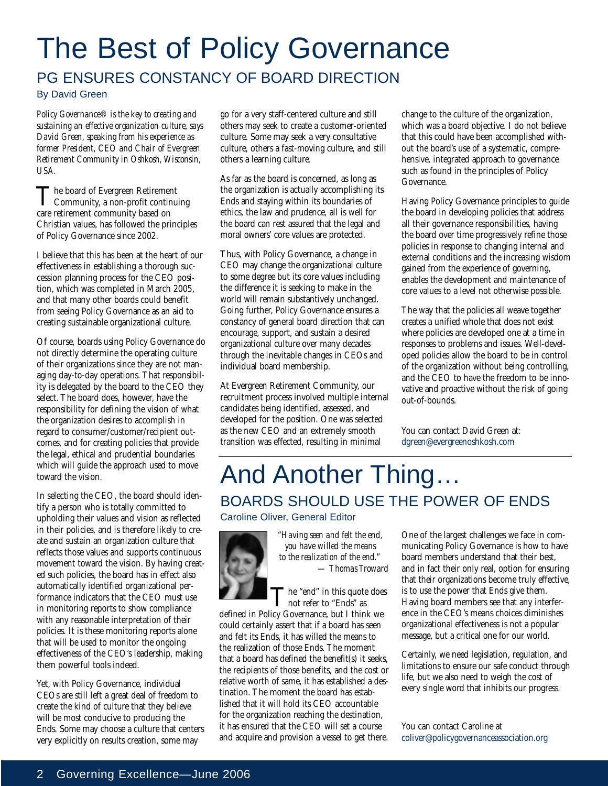# The Best of Policy Governance

#### PG ENSURES CONSTANCY OF BOARD DIRECTION

By David Green

*Policy Governance® is the key to creating and sustaining an effective organization culture, says David Green, speaking from his experience as former President, CEO and Chair of Evergreen Retirement Community in Oshkosh, Wisconsin, USA.*

The board of Evergreen Retirement<br>Community, a non-profit continuing care retirement community based on Christian values, has followed the principles of Policy Governance since 2002.

I believe that this has been at the heart of our effectiveness in establishing a thorough succession planning process for the CEO position, which was completed in March 2005, and that many other boards could benefit from seeing Policy Governance as an aid to creating sustainable organizational culture.

Of course, boards using Policy Governance do not directly determine the operating culture of their organizations since they are not managing day-to-day operations. That responsibility is delegated by the board to the CEO they select. The board does, however, have the responsibility for defining the vision of what the organization desires to accomplish in regard to consumer/customer/recipient outcomes, and for creating policies that provide the legal, ethical and prudential boundaries which will guide the approach used to move toward the vision.

In selecting the CEO, the board should identify a person who is totally committed to upholding their values and vision as reflected in their policies, and is therefore likely to create and sustain an organization culture that reflects those values and supports continuous movement toward the vision. By having created such policies, the board has in effect also automatically identified organizational performance indicators that the CEO must use in monitoring reports to show compliance with any reasonable interpretation of their policies. It is these monitoring reports alone that will be used to monitor the ongoing effectiveness of the CEO's leadership, making them powerful tools indeed.

Yet, with Policy Governance, individual CEOs are still left a great deal of freedom to create the kind of culture that they believe will be most conducive to producing the Ends. Some may choose a culture that centers very explicitly on results creation, some may

go for a very staff-centered culture and still others may seek to create a customer-oriented culture. Some may seek a very consultative culture, others a fast-moving culture, and still others a learning culture.

As far as the board is concerned, as long as the organization is actually accomplishing its Ends and staying within its boundaries of ethics, the law and prudence, all is well for the board can rest assured that the legal and moral owners' core values are protected.

Thus, with Policy Governance, a change in CEO may change the organizational culture to some degree but its core values including the difference it is seeking to make in the world will remain substantively unchanged. Going further, Policy Governance ensures a constancy of general board direction that can encourage, support, and sustain a desired organizational culture over many decades through the inevitable changes in CEOs and individual board membership.

At Evergreen Retirement Community, our recruitment process involved multiple internal candidates being identified, assessed, and developed for the position. One was selected as the new CEO and an extremely smooth transition was effected, resulting in minimal

change to the culture of the organization, which was a board objective. I do not believe that this could have been accomplished without the board's use of a systematic, comprehensive, integrated approach to governance such as found in the principles of Policy Governance.

Having Policy Governance principles to guide the board in developing policies that address all their governance responsibilities, having the board over time progressively refine those policies in response to changing internal and external conditions and the increasing wisdom gained from the experience of governing, enables the development and maintenance of core values to a level not otherwise possible.

The way that the policies all weave together creates a unified whole that does not exist where policies are developed one at a time in responses to problems and issues. Well-developed policies allow the board to be in control of the organization without being controlling, and the CEO to have the freedom to be innovative and proactive without the risk of going out-of-bounds.

You can contact David Green at: dgreen@evergreenoshkosh.com

### And Another Thing… BOARDS SHOULD USE THE POWER OF ENDS

Caroline Oliver, General Editor



*"Having seen and felt the end, you have willed the means to the realization of the end." — Thomas Troward*

The "end" in this quote does<br>not refer to "Ends" as

defined in Policy Governance, but I think we could certainly assert that if a board has seen and felt its Ends, it has willed the means to the realization of those Ends. The moment that a board has defined the benefit(s) it seeks, the recipients of those benefits, and the cost or relative worth of same, it has established a destination. The moment the board has established that it will hold its CEO accountable for the organization reaching the destination, it has ensured that the CEO will set a course and acquire and provision a vessel to get there. One of the largest challenges we face in communicating Policy Governance is how to have board members understand that their best, and in fact their only real, option for ensuring that their organizations become truly effective, is to use the power that Ends give them. Having board members see that any interference in the CEO's means choices diminishes organizational effectiveness is not a popular message, but a critical one for our world.

Certainly, we need legislation, regulation, and limitations to ensure our safe conduct through life, but we also need to weigh the cost of every single word that inhibits our progress.

You can contact Caroline at coliver@policygovernanceassociation.org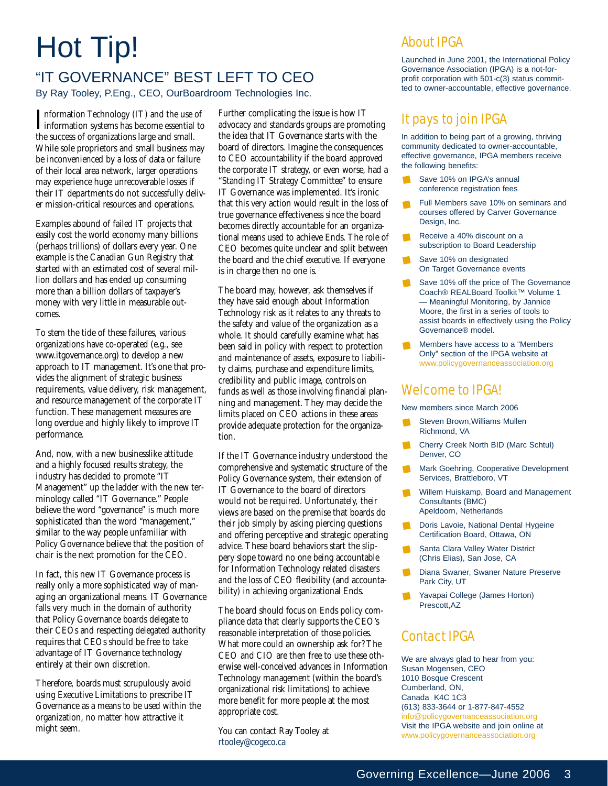# Hot Tip!

#### "IT GOVERNANCE" BEST LEFT TO CEO By Ray Tooley, P.Eng., CEO, OurBoardroom Technologies Inc.

Information Technology (IT) and the use of<br>information systems has become essential to<br>the median of multiple **T**nformation Technology (IT) and the use of the success of organizations large and small. While sole proprietors and small business may be inconvenienced by a loss of data or failure of their local area network, larger operations may experience huge unrecoverable losses if their IT departments do not successfully deliver mission-critical resources and operations.

Examples abound of failed IT projects that easily cost the world economy many billions (perhaps trillions) of dollars every year. One example is the Canadian Gun Registry that started with an estimated cost of several million dollars and has ended up consuming more than a billion dollars of taxpayer's money with very little in measurable outcomes.

To stem the tide of these failures, various organizations have co-operated (e.g., see www.itgovernance.org) to develop a new approach to IT management. It's one that provides the alignment of strategic business requirements, value delivery, risk management, and resource management of the corporate IT function. These management measures are long overdue and highly likely to improve IT performance.

And, now, with a new businesslike attitude and a highly focused results strategy, the industry has decided to promote "IT Management" up the ladder with the new terminology called "IT Governance." People believe the word "governance" is much more sophisticated than the word "management," similar to the way people unfamiliar with Policy Governance believe that the position of chair is the next promotion for the CEO.

In fact, this new IT Governance process is really only a more sophisticated way of managing an organizational means. IT Governance falls very much in the domain of authority that Policy Governance boards delegate to their CEOs and respecting delegated authority requires that CEOs should be free to take advantage of IT Governance technology entirely at their own discretion.

Therefore, boards must scrupulously avoid using Executive Limitations to prescribe IT Governance as a means to be used within the organization, no matter how attractive it might seem.

Further complicating the issue is how IT advocacy and standards groups are promoting the idea that IT Governance starts with the board of directors. Imagine the consequences to CEO accountability if the board approved the corporate IT strategy, or even worse, had a "Standing IT Strategy Committee" to ensure IT Governance was implemented. It's ironic that this very action would result in the loss of true governance effectiveness since the board becomes directly accountable for an organizational means used to achieve Ends. The role of CEO becomes quite unclear and split between the board and the chief executive. If everyone is in charge then no one is.

The board may, however, ask themselves if they have said enough about Information Technology risk as it relates to any threats to the safety and value of the organization as a whole. It should carefully examine what has been said in policy with respect to protection and maintenance of assets, exposure to liability claims, purchase and expenditure limits, credibility and public image, controls on funds as well as those involving financial planning and management. They may decide the limits placed on CEO actions in these areas provide adequate protection for the organization.

If the IT Governance industry understood the comprehensive and systematic structure of the Policy Governance system, their extension of IT Governance to the board of directors would not be required. Unfortunately, their views are based on the premise that boards do their job simply by asking piercing questions and offering perceptive and strategic operating advice. These board behaviors start the slippery slope toward no one being accountable for Information Technology related disasters and the loss of CEO flexibility (and accountability) in achieving organizational Ends.

The board should focus on Ends policy compliance data that clearly supports the CEO's reasonable interpretation of those policies. What more could an ownership ask for? The CEO and CIO are then free to use these otherwise well-conceived advances in Information Technology management (within the board's organizational risk limitations) to achieve more benefit for more people at the most appropriate cost.

You can contact Ray Tooley at rtooley@cogeco.ca

#### About IPGA

Launched in June 2001, the International Policy Governance Association (IPGA) is a not-forprofit corporation with 501-c(3) status committed to owner-accountable, effective governance.

#### It pays to join IPGA

In addition to being part of a growing, thriving community dedicated to owner-accountable, effective governance, IPGA members receive the following benefits:

- Save 10% on IPGA's annual conference registration fees
- Full Members save 10% on seminars and courses offered by Carver Governance Design, Inc.
- Receive a 40% discount on a subscription to Board Leadership
- Save 10% on designated On Target Governance events
- Save 10% off the price of The Governance Coach® REALBoard Toolkit™ Volume 1 — Meaningful Monitoring, by Jannice Moore, the first in a series of tools to assist boards in effectively using the Policy Governance® model.
- Members have access to a "Members Only" section of the IPGA website at www.policygovernanceassociation.org

#### Welcome to IPGA!

New members since March 2006

- Steven Brown,Williams Mullen Richmond, VA
- **Cherry Creek North BID (Marc Schtul)** Denver, CO
- Mark Goehring, Cooperative Development Services, Brattleboro, VT
- Willem Huiskamp, Board and Management Consultants (BMC) Apeldoorn, Netherlands
- Doris Lavoie, National Dental Hygeine Certification Board, Ottawa, ON
- Santa Clara Valley Water District (Chris Elias), San Jose, CA
- $\mathcal{L}_{\mathcal{A}}$ Diana Swaner, Swaner Nature Preserve Park City, UT
- Yavapai College (James Horton) Prescott,AZ

#### Contact IPGA

We are always glad to hear from you: Susan Mogensen, CEO 1010 Bosque Crescent Cumberland, ON, Canada K4C 1C3 (613) 833-3644 or 1-877-847-4552 info@policygovernanceassociation.org Visit the IPGA website and join online at www.policygovernanceassociation.org